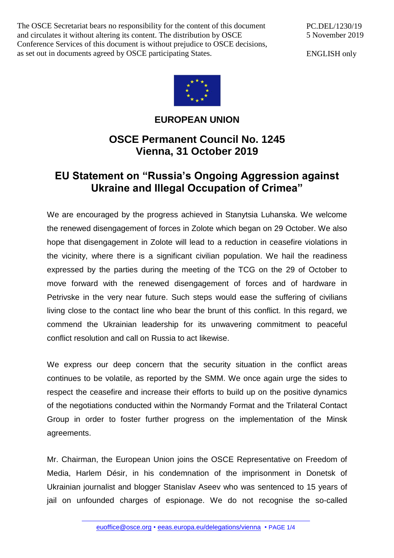The OSCE Secretariat bears no responsibility for the content of this document and circulates it without altering its content. The distribution by OSCE Conference Services of this document is without prejudice to OSCE decisions, as set out in documents agreed by OSCE participating States.

PC.DEL/1230/19 5 November 2019

ENGLISH only



## **EUROPEAN UNION**

## **OSCE Permanent Council No. 1245 Vienna, 31 October 2019**

## **EU Statement on "Russia's Ongoing Aggression against Ukraine and Illegal Occupation of Crimea"**

We are encouraged by the progress achieved in Stanytsia Luhanska. We welcome the renewed disengagement of forces in Zolote which began on 29 October. We also hope that disengagement in Zolote will lead to a reduction in ceasefire violations in the vicinity, where there is a significant civilian population. We hail the readiness expressed by the parties during the meeting of the TCG on the 29 of October to move forward with the renewed disengagement of forces and of hardware in Petrivske in the very near future. Such steps would ease the suffering of civilians living close to the contact line who bear the brunt of this conflict. In this regard, we commend the Ukrainian leadership for its unwavering commitment to peaceful conflict resolution and call on Russia to act likewise.

We express our deep concern that the security situation in the conflict areas continues to be volatile, as reported by the SMM. We once again urge the sides to respect the ceasefire and increase their efforts to build up on the positive dynamics of the negotiations conducted within the Normandy Format and the Trilateral Contact Group in order to foster further progress on the implementation of the Minsk agreements.

Mr. Chairman, the European Union joins the OSCE Representative on Freedom of Media, Harlem Désir, in his condemnation of the imprisonment in Donetsk of Ukrainian journalist and blogger Stanislav Aseev who was sentenced to 15 years of jail on unfounded charges of espionage. We do not recognise the so-called

[euoffice@osce.org](mailto:euoffice@osce.org) • [eeas.europa.eu/delegations/vienna](http://eeas.europa.eu/delegations/vienna) • PAGE 1/4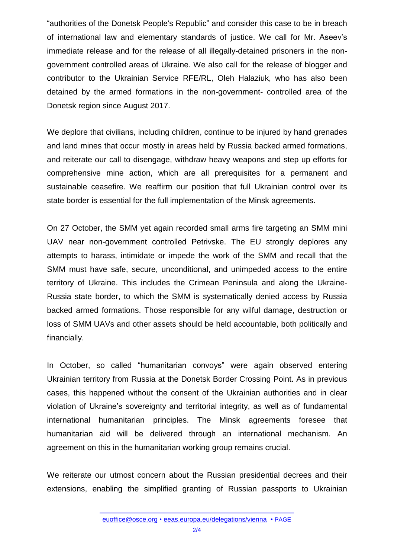"authorities of the Donetsk People's Republic" and consider this case to be in breach of international law and elementary standards of justice. We call for Mr. Aseev's immediate release and for the release of all illegally-detained prisoners in the nongovernment controlled areas of Ukraine. We also call for the release of blogger and contributor to the Ukrainian Service RFE/RL, Oleh Halaziuk, who has also been detained by the armed formations in the non-government- controlled area of the Donetsk region since August 2017.

We deplore that civilians, including children, continue to be injured by hand grenades and land mines that occur mostly in areas held by Russia backed armed formations, and reiterate our call to disengage, withdraw heavy weapons and step up efforts for comprehensive mine action, which are all prerequisites for a permanent and sustainable ceasefire. We reaffirm our position that full Ukrainian control over its state border is essential for the full implementation of the Minsk agreements.

On 27 October, the SMM yet again recorded small arms fire targeting an SMM mini UAV near non-government controlled Petrivske. The EU strongly deplores any attempts to harass, intimidate or impede the work of the SMM and recall that the SMM must have safe, secure, unconditional, and unimpeded access to the entire territory of Ukraine. This includes the Crimean Peninsula and along the Ukraine-Russia state border, to which the SMM is systematically denied access by Russia backed armed formations. Those responsible for any wilful damage, destruction or loss of SMM UAVs and other assets should be held accountable, both politically and financially.

In October, so called "humanitarian convoys" were again observed entering Ukrainian territory from Russia at the Donetsk Border Crossing Point. As in previous cases, this happened without the consent of the Ukrainian authorities and in clear violation of Ukraine's sovereignty and territorial integrity, as well as of fundamental international humanitarian principles. The Minsk agreements foresee that humanitarian aid will be delivered through an international mechanism. An agreement on this in the humanitarian working group remains crucial.

We reiterate our utmost concern about the Russian presidential decrees and their extensions, enabling the simplified granting of Russian passports to Ukrainian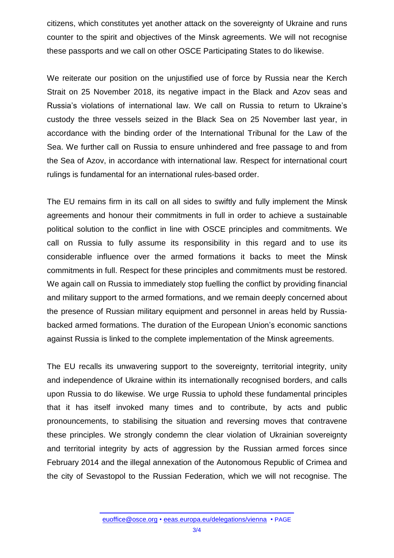citizens, which constitutes yet another attack on the sovereignty of Ukraine and runs counter to the spirit and objectives of the Minsk agreements. We will not recognise these passports and we call on other OSCE Participating States to do likewise.

We reiterate our position on the unjustified use of force by Russia near the Kerch Strait on 25 November 2018, its negative impact in the Black and Azov seas and Russia's violations of international law. We call on Russia to return to Ukraine's custody the three vessels seized in the Black Sea on 25 November last year, in accordance with the binding order of the International Tribunal for the Law of the Sea. We further call on Russia to ensure unhindered and free passage to and from the Sea of Azov, in accordance with international law. Respect for international court rulings is fundamental for an international rules-based order.

The EU remains firm in its call on all sides to swiftly and fully implement the Minsk agreements and honour their commitments in full in order to achieve a sustainable political solution to the conflict in line with OSCE principles and commitments. We call on Russia to fully assume its responsibility in this regard and to use its considerable influence over the armed formations it backs to meet the Minsk commitments in full. Respect for these principles and commitments must be restored. We again call on Russia to immediately stop fuelling the conflict by providing financial and military support to the armed formations, and we remain deeply concerned about the presence of Russian military equipment and personnel in areas held by Russiabacked armed formations. The duration of the European Union's economic sanctions against Russia is linked to the complete implementation of the Minsk agreements.

The EU recalls its unwavering support to the sovereignty, territorial integrity, unity and independence of Ukraine within its internationally recognised borders, and calls upon Russia to do likewise. We urge Russia to uphold these fundamental principles that it has itself invoked many times and to contribute, by acts and public pronouncements, to stabilising the situation and reversing moves that contravene these principles. We strongly condemn the clear violation of Ukrainian sovereignty and territorial integrity by acts of aggression by the Russian armed forces since February 2014 and the illegal annexation of the Autonomous Republic of Crimea and the city of Sevastopol to the Russian Federation, which we will not recognise. The